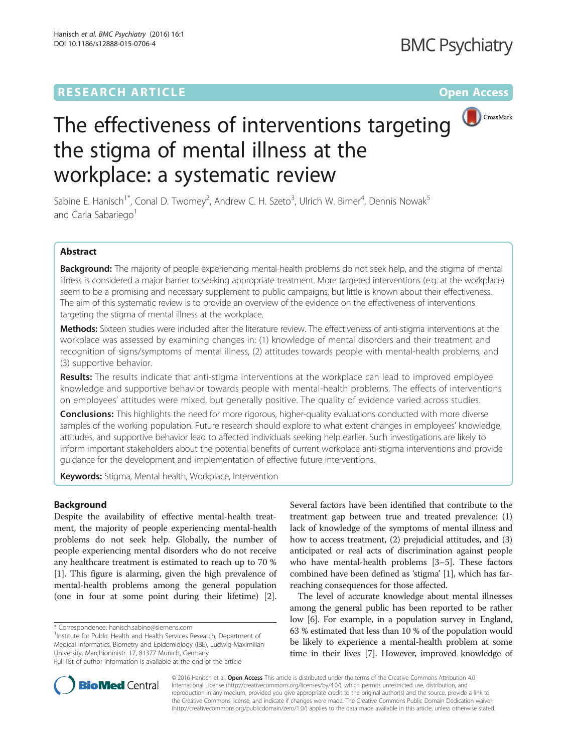## **RESEARCH ARTICLE External Structure Community Community Community Community Community Community Community Community**



# The effectiveness of interventions targeting the stigma of mental illness at the workplace: a systematic review

Sabine E. Hanisch<sup>1\*</sup>, Conal D. Twomey<sup>2</sup>, Andrew C. H. Szeto<sup>3</sup>, Ulrich W. Birner<sup>4</sup>, Dennis Nowak<sup>5</sup> and Carla Sabariego<sup>1</sup>

## Abstract

Background: The majority of people experiencing mental-health problems do not seek help, and the stigma of mental illness is considered a major barrier to seeking appropriate treatment. More targeted interventions (e.g. at the workplace) seem to be a promising and necessary supplement to public campaigns, but little is known about their effectiveness. The aim of this systematic review is to provide an overview of the evidence on the effectiveness of interventions targeting the stigma of mental illness at the workplace.

Methods: Sixteen studies were included after the literature review. The effectiveness of anti-stigma interventions at the workplace was assessed by examining changes in: (1) knowledge of mental disorders and their treatment and recognition of signs/symptoms of mental illness, (2) attitudes towards people with mental-health problems, and (3) supportive behavior.

Results: The results indicate that anti-stigma interventions at the workplace can lead to improved employee knowledge and supportive behavior towards people with mental-health problems. The effects of interventions on employees' attitudes were mixed, but generally positive. The quality of evidence varied across studies.

Conclusions: This highlights the need for more rigorous, higher-quality evaluations conducted with more diverse samples of the working population. Future research should explore to what extent changes in employees' knowledge, attitudes, and supportive behavior lead to affected individuals seeking help earlier. Such investigations are likely to inform important stakeholders about the potential benefits of current workplace anti-stigma interventions and provide guidance for the development and implementation of effective future interventions.

Keywords: Stigma, Mental health, Workplace, Intervention

## Background

Despite the availability of effective mental-health treatment, the majority of people experiencing mental-health problems do not seek help. Globally, the number of people experiencing mental disorders who do not receive any healthcare treatment is estimated to reach up to 70 % [[1\]](#page-9-0). This figure is alarming, given the high prevalence of mental-health problems among the general population (one in four at some point during their lifetime) [[2](#page-9-0)].

\* Correspondence: [hanisch.sabine@siemens.com](mailto:hanisch.sabine@siemens.com) <sup>1</sup>

<sup>1</sup>Institute for Public Health and Health Services Research, Department of Medical Informatics, Biometry and Epidemiology (IBE), Ludwig-Maximilian University, Marchioninistr. 17, 81377 Munich, Germany Full list of author information is available at the end of the article

Several factors have been identified that contribute to the treatment gap between true and treated prevalence: (1) lack of knowledge of the symptoms of mental illness and how to access treatment, (2) prejudicial attitudes, and (3) anticipated or real acts of discrimination against people who have mental-health problems [[3](#page-9-0)–[5](#page-9-0)]. These factors combined have been defined as 'stigma' [[1](#page-9-0)], which has farreaching consequences for those affected.

The level of accurate knowledge about mental illnesses among the general public has been reported to be rather low [\[6\]](#page-9-0). For example, in a population survey in England, 63 % estimated that less than 10 % of the population would be likely to experience a mental-health problem at some time in their lives [\[7](#page-9-0)]. However, improved knowledge of



© 2016 Hanisch et al. Open Access This article is distributed under the terms of the Creative Commons Attribution 4.0 International License [\(http://creativecommons.org/licenses/by/4.0/](http://creativecommons.org/licenses/by/4.0/)), which permits unrestricted use, distribution, and reproduction in any medium, provided you give appropriate credit to the original author(s) and the source, provide a link to the Creative Commons license, and indicate if changes were made. The Creative Commons Public Domain Dedication waiver [\(http://creativecommons.org/publicdomain/zero/1.0/](http://creativecommons.org/publicdomain/zero/1.0/)) applies to the data made available in this article, unless otherwise stated.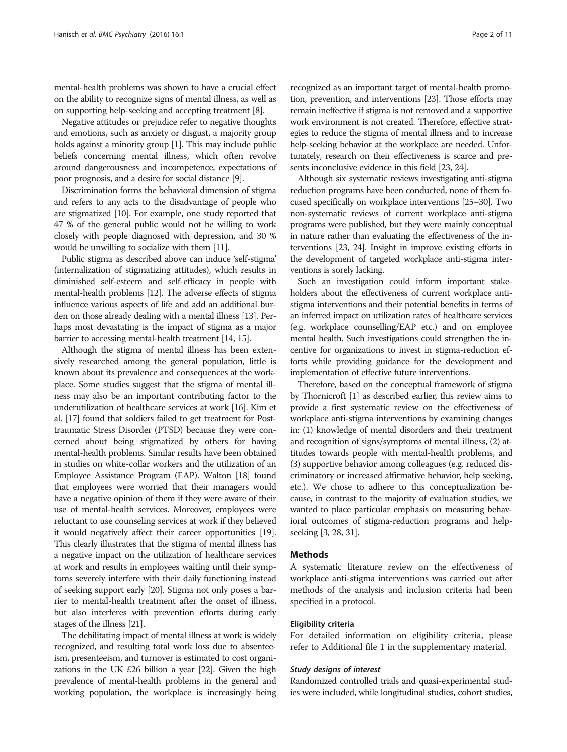mental-health problems was shown to have a crucial effect on the ability to recognize signs of mental illness, as well as on supporting help-seeking and accepting treatment [\[8](#page-9-0)].

Negative attitudes or prejudice refer to negative thoughts and emotions, such as anxiety or disgust, a majority group holds against a minority group [\[1\]](#page-9-0). This may include public beliefs concerning mental illness, which often revolve around dangerousness and incompetence, expectations of poor prognosis, and a desire for social distance [[9\]](#page-9-0).

Discrimination forms the behavioral dimension of stigma and refers to any acts to the disadvantage of people who are stigmatized [\[10\]](#page-9-0). For example, one study reported that 47 % of the general public would not be willing to work closely with people diagnosed with depression, and 30 % would be unwilling to socialize with them [[11](#page-9-0)].

Public stigma as described above can induce 'self-stigma' (internalization of stigmatizing attitudes), which results in diminished self-esteem and self-efficacy in people with mental-health problems [\[12\]](#page-9-0). The adverse effects of stigma influence various aspects of life and add an additional burden on those already dealing with a mental illness [\[13\]](#page-9-0). Perhaps most devastating is the impact of stigma as a major barrier to accessing mental-health treatment [[14](#page-9-0), [15](#page-9-0)].

Although the stigma of mental illness has been extensively researched among the general population, little is known about its prevalence and consequences at the workplace. Some studies suggest that the stigma of mental illness may also be an important contributing factor to the underutilization of healthcare services at work [\[16\]](#page-9-0). Kim et al. [\[17\]](#page-9-0) found that soldiers failed to get treatment for Posttraumatic Stress Disorder (PTSD) because they were concerned about being stigmatized by others for having mental-health problems. Similar results have been obtained in studies on white-collar workers and the utilization of an Employee Assistance Program (EAP). Walton [\[18\]](#page-9-0) found that employees were worried that their managers would have a negative opinion of them if they were aware of their use of mental-health services. Moreover, employees were reluctant to use counseling services at work if they believed it would negatively affect their career opportunities [\[19](#page-9-0)]. This clearly illustrates that the stigma of mental illness has a negative impact on the utilization of healthcare services at work and results in employees waiting until their symptoms severely interfere with their daily functioning instead of seeking support early [\[20\]](#page-9-0). Stigma not only poses a barrier to mental-health treatment after the onset of illness, but also interferes with prevention efforts during early stages of the illness [[21](#page-9-0)].

The debilitating impact of mental illness at work is widely recognized, and resulting total work loss due to absenteeism, presenteeism, and turnover is estimated to cost organizations in the UK £26 billion a year [\[22\]](#page-9-0). Given the high prevalence of mental-health problems in the general and working population, the workplace is increasingly being

recognized as an important target of mental-health promotion, prevention, and interventions [[23\]](#page-9-0). Those efforts may remain ineffective if stigma is not removed and a supportive work environment is not created. Therefore, effective strategies to reduce the stigma of mental illness and to increase help-seeking behavior at the workplace are needed. Unfortunately, research on their effectiveness is scarce and presents inconclusive evidence in this field [[23](#page-9-0), [24](#page-9-0)].

Although six systematic reviews investigating anti-stigma reduction programs have been conducted, none of them focused specifically on workplace interventions [\[25](#page-9-0)–[30\]](#page-9-0). Two non-systematic reviews of current workplace anti-stigma programs were published, but they were mainly conceptual in nature rather than evaluating the effectiveness of the interventions [[23, 24](#page-9-0)]. Insight in improve existing efforts in the development of targeted workplace anti-stigma interventions is sorely lacking.

Such an investigation could inform important stakeholders about the effectiveness of current workplace antistigma interventions and their potential benefits in terms of an inferred impact on utilization rates of healthcare services (e.g. workplace counselling/EAP etc.) and on employee mental health. Such investigations could strengthen the incentive for organizations to invest in stigma-reduction efforts while providing guidance for the development and implementation of effective future interventions.

Therefore, based on the conceptual framework of stigma by Thornicroft [[1\]](#page-9-0) as described earlier, this review aims to provide a first systematic review on the effectiveness of workplace anti-stigma interventions by examining changes in: (1) knowledge of mental disorders and their treatment and recognition of signs/symptoms of mental illness, (2) attitudes towards people with mental-health problems, and (3) supportive behavior among colleagues (e.g. reduced discriminatory or increased affirmative behavior, help seeking, etc.). We chose to adhere to this conceptualization because, in contrast to the majority of evaluation studies, we wanted to place particular emphasis on measuring behavioral outcomes of stigma-reduction programs and helpseeking [[3](#page-9-0), [28](#page-9-0), [31\]](#page-9-0).

## Methods

A systematic literature review on the effectiveness of workplace anti-stigma interventions was carried out after methods of the analysis and inclusion criteria had been specified in a protocol.

## Eligibility criteria

For detailed information on eligibility criteria, please refer to Additional file [1](#page-8-0) in the supplementary material.

#### Study designs of interest

Randomized controlled trials and quasi-experimental studies were included, while longitudinal studies, cohort studies,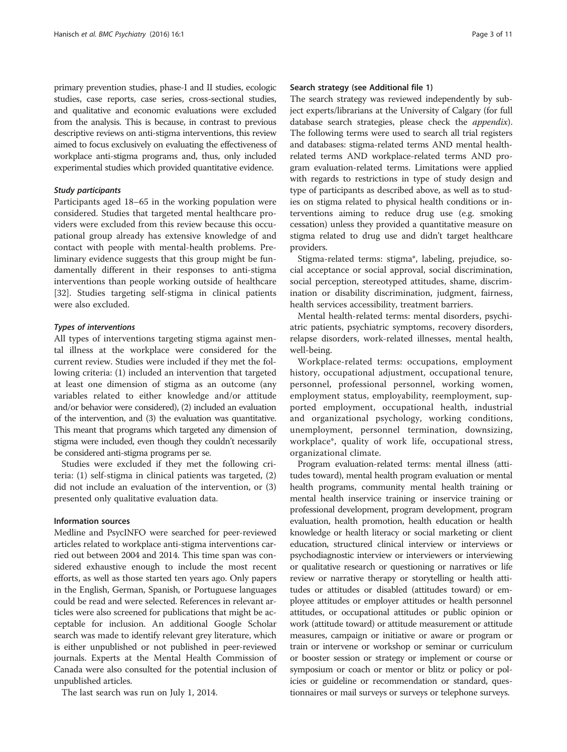primary prevention studies, phase-I and II studies, ecologic studies, case reports, case series, cross-sectional studies, and qualitative and economic evaluations were excluded from the analysis. This is because, in contrast to previous descriptive reviews on anti-stigma interventions, this review aimed to focus exclusively on evaluating the effectiveness of workplace anti-stigma programs and, thus, only included experimental studies which provided quantitative evidence.

## Study participants

Participants aged 18–65 in the working population were considered. Studies that targeted mental healthcare providers were excluded from this review because this occupational group already has extensive knowledge of and contact with people with mental-health problems. Preliminary evidence suggests that this group might be fundamentally different in their responses to anti-stigma interventions than people working outside of healthcare [[32\]](#page-9-0). Studies targeting self-stigma in clinical patients were also excluded.

## Types of interventions

All types of interventions targeting stigma against mental illness at the workplace were considered for the current review. Studies were included if they met the following criteria: (1) included an intervention that targeted at least one dimension of stigma as an outcome (any variables related to either knowledge and/or attitude and/or behavior were considered), (2) included an evaluation of the intervention, and (3) the evaluation was quantitative. This meant that programs which targeted any dimension of stigma were included, even though they couldn't necessarily be considered anti-stigma programs per se.

Studies were excluded if they met the following criteria: (1) self-stigma in clinical patients was targeted, (2) did not include an evaluation of the intervention, or (3) presented only qualitative evaluation data.

#### Information sources

Medline and PsycINFO were searched for peer-reviewed articles related to workplace anti-stigma interventions carried out between 2004 and 2014. This time span was considered exhaustive enough to include the most recent efforts, as well as those started ten years ago. Only papers in the English, German, Spanish, or Portuguese languages could be read and were selected. References in relevant articles were also screened for publications that might be acceptable for inclusion. An additional Google Scholar search was made to identify relevant grey literature, which is either unpublished or not published in peer-reviewed journals. Experts at the Mental Health Commission of Canada were also consulted for the potential inclusion of unpublished articles.

The last search was run on July 1, 2014.

## Search strategy (see Additional file [1](#page-8-0))

The search strategy was reviewed independently by subject experts/librarians at the University of Calgary (for full database search strategies, please check the *appendix*). The following terms were used to search all trial registers and databases: stigma-related terms AND mental healthrelated terms AND workplace-related terms AND program evaluation-related terms. Limitations were applied with regards to restrictions in type of study design and type of participants as described above, as well as to studies on stigma related to physical health conditions or interventions aiming to reduce drug use (e.g. smoking cessation) unless they provided a quantitative measure on stigma related to drug use and didn't target healthcare providers.

Stigma-related terms: stigma\*, labeling, prejudice, social acceptance or social approval, social discrimination, social perception, stereotyped attitudes, shame, discrimination or disability discrimination, judgment, fairness, health services accessibility, treatment barriers.

Mental health-related terms: mental disorders, psychiatric patients, psychiatric symptoms, recovery disorders, relapse disorders, work-related illnesses, mental health, well-being.

Workplace-related terms: occupations, employment history, occupational adjustment, occupational tenure, personnel, professional personnel, working women, employment status, employability, reemployment, supported employment, occupational health, industrial and organizational psychology, working conditions, unemployment, personnel termination, downsizing, workplace\*, quality of work life, occupational stress, organizational climate.

Program evaluation-related terms: mental illness (attitudes toward), mental health program evaluation or mental health programs, community mental health training or mental health inservice training or inservice training or professional development, program development, program evaluation, health promotion, health education or health knowledge or health literacy or social marketing or client education, structured clinical interview or interviews or psychodiagnostic interview or interviewers or interviewing or qualitative research or questioning or narratives or life review or narrative therapy or storytelling or health attitudes or attitudes or disabled (attitudes toward) or employee attitudes or employer attitudes or health personnel attitudes, or occupational attitudes or public opinion or work (attitude toward) or attitude measurement or attitude measures, campaign or initiative or aware or program or train or intervene or workshop or seminar or curriculum or booster session or strategy or implement or course or symposium or coach or mentor or blitz or policy or policies or guideline or recommendation or standard, questionnaires or mail surveys or surveys or telephone surveys.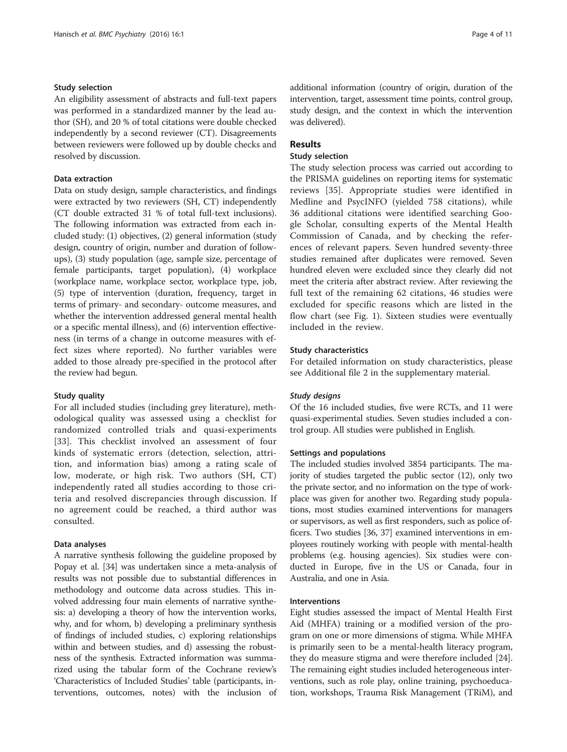## Study selection

An eligibility assessment of abstracts and full-text papers was performed in a standardized manner by the lead author (SH), and 20 % of total citations were double checked independently by a second reviewer (CT). Disagreements between reviewers were followed up by double checks and resolved by discussion.

## Data extraction

Data on study design, sample characteristics, and findings were extracted by two reviewers (SH, CT) independently (CT double extracted 31 % of total full-text inclusions). The following information was extracted from each included study: (1) objectives, (2) general information (study design, country of origin, number and duration of followups), (3) study population (age, sample size, percentage of female participants, target population), (4) workplace (workplace name, workplace sector, workplace type, job, (5) type of intervention (duration, frequency, target in terms of primary- and secondary- outcome measures, and whether the intervention addressed general mental health or a specific mental illness), and (6) intervention effectiveness (in terms of a change in outcome measures with effect sizes where reported). No further variables were added to those already pre-specified in the protocol after the review had begun.

## Study quality

For all included studies (including grey literature), methodological quality was assessed using a checklist for randomized controlled trials and quasi-experiments [[33\]](#page-9-0). This checklist involved an assessment of four kinds of systematic errors (detection, selection, attrition, and information bias) among a rating scale of low, moderate, or high risk. Two authors (SH, CT) independently rated all studies according to those criteria and resolved discrepancies through discussion. If no agreement could be reached, a third author was consulted.

## Data analyses

A narrative synthesis following the guideline proposed by Popay et al. [\[34](#page-9-0)] was undertaken since a meta-analysis of results was not possible due to substantial differences in methodology and outcome data across studies. This involved addressing four main elements of narrative synthesis: a) developing a theory of how the intervention works, why, and for whom, b) developing a preliminary synthesis of findings of included studies, c) exploring relationships within and between studies, and d) assessing the robustness of the synthesis. Extracted information was summarized using the tabular form of the Cochrane review's 'Characteristics of Included Studies' table (participants, interventions, outcomes, notes) with the inclusion of additional information (country of origin, duration of the intervention, target, assessment time points, control group, study design, and the context in which the intervention was delivered).

## Results

## Study selection

The study selection process was carried out according to the PRISMA guidelines on reporting items for systematic reviews [\[35](#page-9-0)]. Appropriate studies were identified in Medline and PsycINFO (yielded 758 citations), while 36 additional citations were identified searching Google Scholar, consulting experts of the Mental Health Commission of Canada, and by checking the references of relevant papers. Seven hundred seventy-three studies remained after duplicates were removed. Seven hundred eleven were excluded since they clearly did not meet the criteria after abstract review. After reviewing the full text of the remaining 62 citations, 46 studies were excluded for specific reasons which are listed in the flow chart (see Fig. [1\)](#page-4-0). Sixteen studies were eventually included in the review.

## Study characteristics

For detailed information on study characteristics, please see Additional file [2](#page-8-0) in the supplementary material.

## Study designs

Of the 16 included studies, five were RCTs, and 11 were quasi-experimental studies. Seven studies included a control group. All studies were published in English.

## Settings and populations

The included studies involved 3854 participants. The majority of studies targeted the public sector (12), only two the private sector, and no information on the type of workplace was given for another two. Regarding study populations, most studies examined interventions for managers or supervisors, as well as first responders, such as police officers. Two studies [\[36, 37](#page-9-0)] examined interventions in employees routinely working with people with mental-health problems (e.g. housing agencies). Six studies were conducted in Europe, five in the US or Canada, four in Australia, and one in Asia.

## Interventions

Eight studies assessed the impact of Mental Health First Aid (MHFA) training or a modified version of the program on one or more dimensions of stigma. While MHFA is primarily seen to be a mental-health literacy program, they do measure stigma and were therefore included [[24](#page-9-0)]. The remaining eight studies included heterogeneous interventions, such as role play, online training, psychoeducation, workshops, Trauma Risk Management (TRiM), and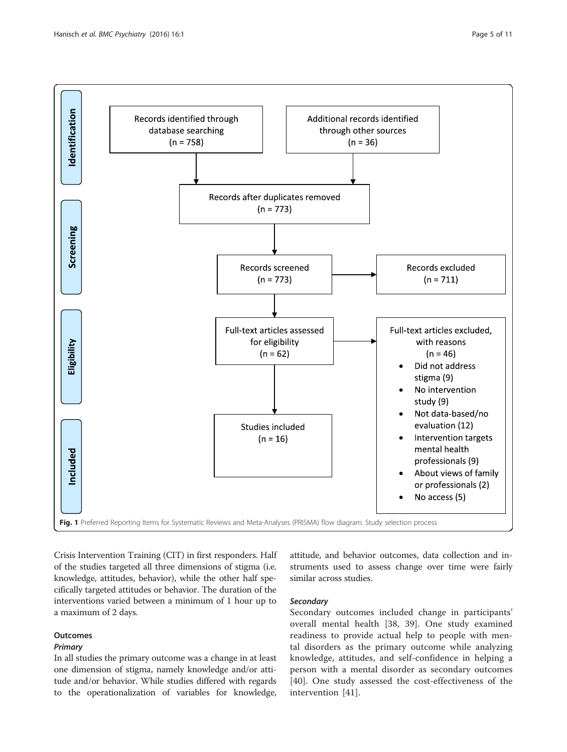<span id="page-4-0"></span>

Crisis Intervention Training (CIT) in first responders. Half of the studies targeted all three dimensions of stigma (i.e. knowledge, attitudes, behavior), while the other half specifically targeted attitudes or behavior. The duration of the interventions varied between a minimum of 1 hour up to a maximum of 2 days.

## Outcomes

## Primary

In all studies the primary outcome was a change in at least one dimension of stigma, namely knowledge and/or attitude and/or behavior. While studies differed with regards to the operationalization of variables for knowledge, attitude, and behavior outcomes, data collection and instruments used to assess change over time were fairly similar across studies.

## **Secondary**

Secondary outcomes included change in participants' overall mental health [[38, 39\]](#page-9-0). One study examined readiness to provide actual help to people with mental disorders as the primary outcome while analyzing knowledge, attitudes, and self-confidence in helping a person with a mental disorder as secondary outcomes [[40\]](#page-9-0). One study assessed the cost-effectiveness of the intervention [[41](#page-9-0)].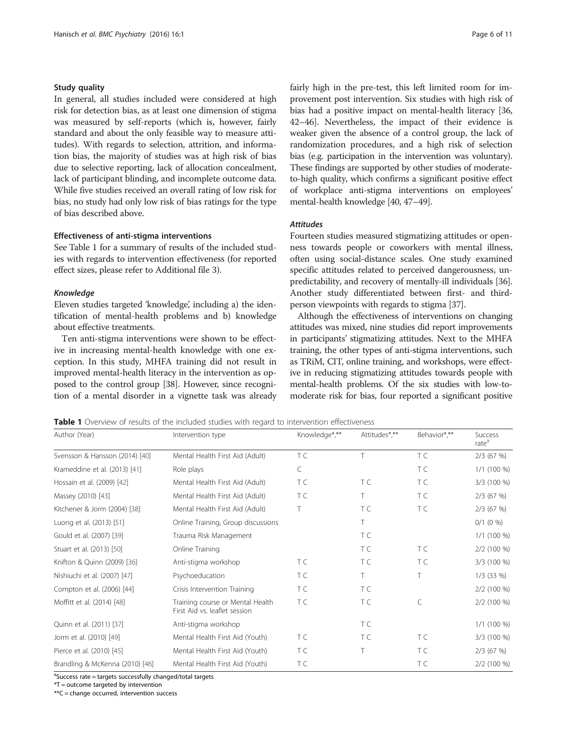## Study quality

In general, all studies included were considered at high risk for detection bias, as at least one dimension of stigma was measured by self-reports (which is, however, fairly standard and about the only feasible way to measure attitudes). With regards to selection, attrition, and information bias, the majority of studies was at high risk of bias due to selective reporting, lack of allocation concealment, lack of participant blinding, and incomplete outcome data. While five studies received an overall rating of low risk for bias, no study had only low risk of bias ratings for the type of bias described above.

## Effectiveness of anti-stigma interventions

See Table 1 for a summary of results of the included studies with regards to intervention effectiveness (for reported effect sizes, please refer to Additional file [3\)](#page-8-0).

## Knowledge

Eleven studies targeted 'knowledge', including a) the identification of mental-health problems and b) knowledge about effective treatments.

Ten anti-stigma interventions were shown to be effective in increasing mental-health knowledge with one exception. In this study, MHFA training did not result in improved mental-health literacy in the intervention as opposed to the control group [\[38\]](#page-9-0). However, since recognition of a mental disorder in a vignette task was already fairly high in the pre-test, this left limited room for im-

provement post intervention. Six studies with high risk of bias had a positive impact on mental-health literacy [[36](#page-9-0), [42](#page-9-0)–[46\]](#page-9-0). Nevertheless, the impact of their evidence is weaker given the absence of a control group, the lack of randomization procedures, and a high risk of selection bias (e.g. participation in the intervention was voluntary). These findings are supported by other studies of moderateto-high quality, which confirms a significant positive effect of workplace anti-stigma interventions on employees' mental-health knowledge [\[40,](#page-9-0) [47](#page-10-0)–[49](#page-10-0)].

## Attitudes

Fourteen studies measured stigmatizing attitudes or openness towards people or coworkers with mental illness, often using social-distance scales. One study examined specific attitudes related to perceived dangerousness, unpredictability, and recovery of mentally-ill individuals [[36](#page-9-0)]. Another study differentiated between first- and thirdperson viewpoints with regards to stigma [[37](#page-9-0)].

Although the effectiveness of interventions on changing attitudes was mixed, nine studies did report improvements in participants' stigmatizing attitudes. Next to the MHFA training, the other types of anti-stigma interventions, such as TRiM, CIT, online training, and workshops, were effective in reducing stigmatizing attitudes towards people with mental-health problems. Of the six studies with low-tomoderate risk for bias, four reported a significant positive

**Table 1** Overview of results of the included studies with regard to intervention effectiveness

| Author (Year)                   | Intervention type                                                 | Knowledge*,** | Attitudes*,** | Behavior*,** | <b>Success</b><br>rate <sup>a</sup> |
|---------------------------------|-------------------------------------------------------------------|---------------|---------------|--------------|-------------------------------------|
| Svensson & Hansson (2014) [40]  | Mental Health First Aid (Adult)                                   | T C           | T             | T C          | $2/3$ (67 %)                        |
| Krameddine et al. (2013) [41]   | Role plays                                                        | C             |               | ТC           | $1/1(100\%)$                        |
| Hossain et al. (2009) [42]      | Mental Health First Aid (Adult)                                   | ТC            | T C           | T C          | $3/3$ (100 %)                       |
| Massey (2010) [43]              | Mental Health First Aid (Adult)                                   | T C           | Τ             | ТC           | $2/3$ (67 %)                        |
| Kitchener & Jorm (2004) [38]    | Mental Health First Aid (Adult)                                   |               | T C           | T C          | $2/3$ (67 %)                        |
| Luong et al. (2013) [51]        | Online Training, Group discussions                                |               | Τ             |              | $0/1$ (0 %)                         |
| Gould et al. (2007) [39]        | Trauma Risk Management                                            |               | T C           |              | $1/1$ (100 %)                       |
| Stuart et al. (2013) [50]       | Online Training                                                   |               | T C           | ТC           | $2/2$ (100 %)                       |
| Knifton & Quinn (2009) [36]     | Anti-stigma workshop                                              | ТC            | T C           | T C          | 3/3 (100 %)                         |
| Nishiuchi et al. (2007) [47]    | Psychoeducation                                                   | ТC            | Τ             | Τ            | $1/3$ (33 %)                        |
| Compton et al. (2006) [44]      | Crisis Intervention Training                                      | ТC            | T C           |              | $2/2$ (100 %)                       |
| Moffitt et al. (2014) [48]      | Training course or Mental Health<br>First Aid vs. leaflet session | T C           | T C           | C            | 2/2 (100 %)                         |
| Quinn et al. (2011) [37]        | Anti-stigma workshop                                              |               | T C           |              | $1/1(100\%)$                        |
| Jorm et al. (2010) [49]         | Mental Health First Aid (Youth)                                   | ТC            | T C           | T C          | $3/3$ (100 %)                       |
| Pierce et al. (2010) [45]       | Mental Health First Aid (Youth)                                   | ТC            | Τ             | T C          | $2/3$ (67 %)                        |
| Brandling & McKenna (2010) [46] | Mental Health First Aid (Youth)                                   | T C           |               | T C          | 2/2 (100 %)                         |

<sup>a</sup>Success rate = targets successfully changed/total targets

\*T = outcome targeted by intervention

\*\*C = change occurred, intervention success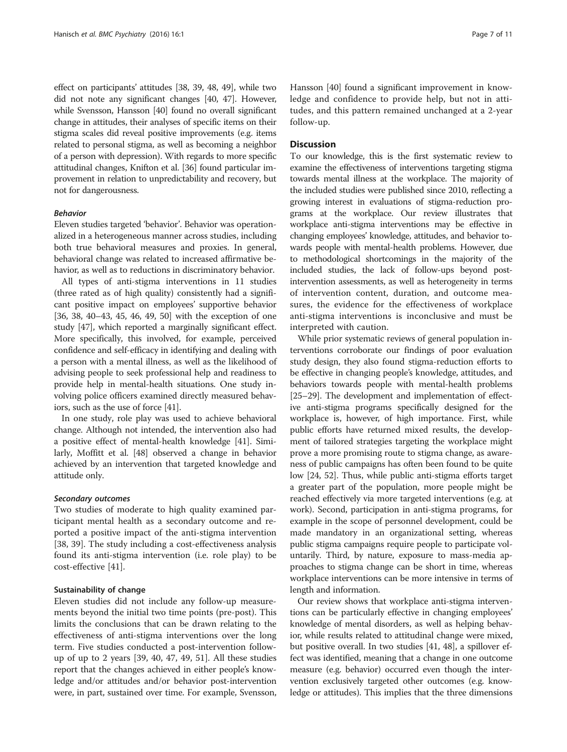effect on participants' attitudes [\[38, 39](#page-9-0), [48](#page-10-0), [49](#page-10-0)], while two did not note any significant changes [[40](#page-9-0), [47\]](#page-10-0). However, while Svensson, Hansson [[40](#page-9-0)] found no overall significant change in attitudes, their analyses of specific items on their stigma scales did reveal positive improvements (e.g. items related to personal stigma, as well as becoming a neighbor of a person with depression). With regards to more specific attitudinal changes, Knifton et al. [\[36\]](#page-9-0) found particular improvement in relation to unpredictability and recovery, but not for dangerousness.

## Behavior

Eleven studies targeted 'behavior'. Behavior was operationalized in a heterogeneous manner across studies, including both true behavioral measures and proxies. In general, behavioral change was related to increased affirmative behavior, as well as to reductions in discriminatory behavior.

All types of anti-stigma interventions in 11 studies (three rated as of high quality) consistently had a significant positive impact on employees' supportive behavior [[36](#page-9-0), [38, 40](#page-9-0)–[43, 45](#page-9-0), [46,](#page-9-0) [49](#page-10-0), [50\]](#page-10-0) with the exception of one study [[47\]](#page-10-0), which reported a marginally significant effect. More specifically, this involved, for example, perceived confidence and self-efficacy in identifying and dealing with a person with a mental illness, as well as the likelihood of advising people to seek professional help and readiness to provide help in mental-health situations. One study involving police officers examined directly measured behaviors, such as the use of force [[41](#page-9-0)].

In one study, role play was used to achieve behavioral change. Although not intended, the intervention also had a positive effect of mental-health knowledge [[41](#page-9-0)]. Similarly, Moffitt et al. [\[48\]](#page-10-0) observed a change in behavior achieved by an intervention that targeted knowledge and attitude only.

## Secondary outcomes

Two studies of moderate to high quality examined participant mental health as a secondary outcome and reported a positive impact of the anti-stigma intervention [[38, 39\]](#page-9-0). The study including a cost-effectiveness analysis found its anti-stigma intervention (i.e. role play) to be cost-effective [\[41](#page-9-0)].

## Sustainability of change

Eleven studies did not include any follow-up measurements beyond the initial two time points (pre-post). This limits the conclusions that can be drawn relating to the effectiveness of anti-stigma interventions over the long term. Five studies conducted a post-intervention followup of up to 2 years [[39](#page-9-0), [40,](#page-9-0) [47](#page-10-0), [49, 51](#page-10-0)]. All these studies report that the changes achieved in either people's knowledge and/or attitudes and/or behavior post-intervention were, in part, sustained over time. For example, Svensson, Hansson [\[40\]](#page-9-0) found a significant improvement in knowledge and confidence to provide help, but not in attitudes, and this pattern remained unchanged at a 2-year follow-up.

## **Discussion**

To our knowledge, this is the first systematic review to examine the effectiveness of interventions targeting stigma towards mental illness at the workplace. The majority of the included studies were published since 2010, reflecting a growing interest in evaluations of stigma-reduction programs at the workplace. Our review illustrates that workplace anti-stigma interventions may be effective in changing employees' knowledge, attitudes, and behavior towards people with mental-health problems. However, due to methodological shortcomings in the majority of the included studies, the lack of follow-ups beyond postintervention assessments, as well as heterogeneity in terms of intervention content, duration, and outcome measures, the evidence for the effectiveness of workplace anti-stigma interventions is inconclusive and must be interpreted with caution.

While prior systematic reviews of general population interventions corroborate our findings of poor evaluation study design, they also found stigma-reduction efforts to be effective in changing people's knowledge, attitudes, and behaviors towards people with mental-health problems [[25](#page-9-0)–[29\]](#page-9-0). The development and implementation of effective anti-stigma programs specifically designed for the workplace is, however, of high importance. First, while public efforts have returned mixed results, the development of tailored strategies targeting the workplace might prove a more promising route to stigma change, as awareness of public campaigns has often been found to be quite low [[24](#page-9-0), [52](#page-10-0)]. Thus, while public anti-stigma efforts target a greater part of the population, more people might be reached effectively via more targeted interventions (e.g. at work). Second, participation in anti-stigma programs, for example in the scope of personnel development, could be made mandatory in an organizational setting, whereas public stigma campaigns require people to participate voluntarily. Third, by nature, exposure to mass-media approaches to stigma change can be short in time, whereas workplace interventions can be more intensive in terms of length and information.

Our review shows that workplace anti-stigma interventions can be particularly effective in changing employees' knowledge of mental disorders, as well as helping behavior, while results related to attitudinal change were mixed, but positive overall. In two studies [[41](#page-9-0), [48](#page-10-0)], a spillover effect was identified, meaning that a change in one outcome measure (e.g. behavior) occurred even though the intervention exclusively targeted other outcomes (e.g. knowledge or attitudes). This implies that the three dimensions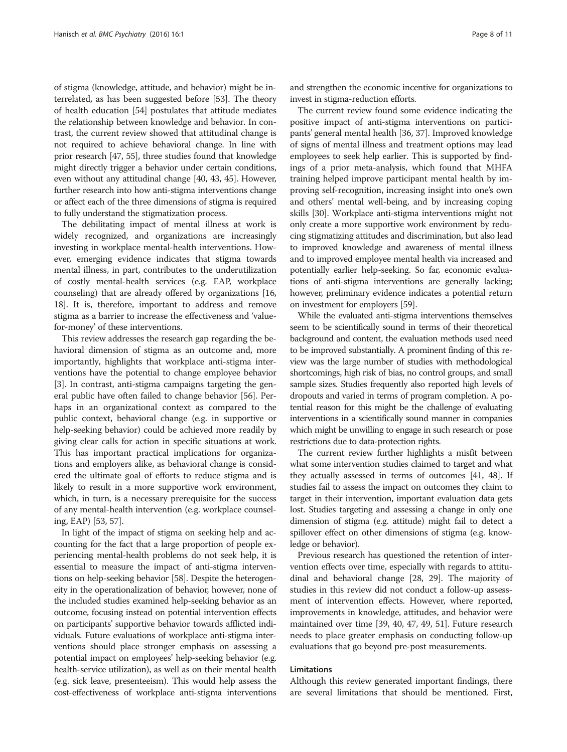of stigma (knowledge, attitude, and behavior) might be interrelated, as has been suggested before [[53](#page-10-0)]. The theory of health education [\[54\]](#page-10-0) postulates that attitude mediates the relationship between knowledge and behavior. In contrast, the current review showed that attitudinal change is not required to achieve behavioral change. In line with prior research [\[47, 55](#page-10-0)], three studies found that knowledge might directly trigger a behavior under certain conditions, even without any attitudinal change [\[40, 43, 45](#page-9-0)]. However, further research into how anti-stigma interventions change or affect each of the three dimensions of stigma is required to fully understand the stigmatization process.

The debilitating impact of mental illness at work is widely recognized, and organizations are increasingly investing in workplace mental-health interventions. However, emerging evidence indicates that stigma towards mental illness, in part, contributes to the underutilization of costly mental-health services (e.g. EAP, workplace counseling) that are already offered by organizations [[16](#page-9-0), [18](#page-9-0)]. It is, therefore, important to address and remove stigma as a barrier to increase the effectiveness and 'valuefor-money' of these interventions.

This review addresses the research gap regarding the behavioral dimension of stigma as an outcome and, more importantly, highlights that workplace anti-stigma interventions have the potential to change employee behavior [[3\]](#page-9-0). In contrast, anti-stigma campaigns targeting the general public have often failed to change behavior [[56](#page-10-0)]. Perhaps in an organizational context as compared to the public context, behavioral change (e.g. in supportive or help-seeking behavior) could be achieved more readily by giving clear calls for action in specific situations at work. This has important practical implications for organizations and employers alike, as behavioral change is considered the ultimate goal of efforts to reduce stigma and is likely to result in a more supportive work environment, which, in turn, is a necessary prerequisite for the success of any mental-health intervention (e.g. workplace counseling, EAP) [[53](#page-10-0), [57\]](#page-10-0).

In light of the impact of stigma on seeking help and accounting for the fact that a large proportion of people experiencing mental-health problems do not seek help, it is essential to measure the impact of anti-stigma interventions on help-seeking behavior [\[58\]](#page-10-0). Despite the heterogeneity in the operationalization of behavior, however, none of the included studies examined help-seeking behavior as an outcome, focusing instead on potential intervention effects on participants' supportive behavior towards afflicted individuals. Future evaluations of workplace anti-stigma interventions should place stronger emphasis on assessing a potential impact on employees' help-seeking behavior (e.g. health-service utilization), as well as on their mental health (e.g. sick leave, presenteeism). This would help assess the cost-effectiveness of workplace anti-stigma interventions

and strengthen the economic incentive for organizations to invest in stigma-reduction efforts.

The current review found some evidence indicating the positive impact of anti-stigma interventions on participants' general mental health [\[36, 37](#page-9-0)]. Improved knowledge of signs of mental illness and treatment options may lead employees to seek help earlier. This is supported by findings of a prior meta-analysis, which found that MHFA training helped improve participant mental health by improving self-recognition, increasing insight into one's own and others' mental well-being, and by increasing coping skills [[30](#page-9-0)]. Workplace anti-stigma interventions might not only create a more supportive work environment by reducing stigmatizing attitudes and discrimination, but also lead to improved knowledge and awareness of mental illness and to improved employee mental health via increased and potentially earlier help-seeking. So far, economic evaluations of anti-stigma interventions are generally lacking; however, preliminary evidence indicates a potential return on investment for employers [[59](#page-10-0)].

While the evaluated anti-stigma interventions themselves seem to be scientifically sound in terms of their theoretical background and content, the evaluation methods used need to be improved substantially. A prominent finding of this review was the large number of studies with methodological shortcomings, high risk of bias, no control groups, and small sample sizes. Studies frequently also reported high levels of dropouts and varied in terms of program completion. A potential reason for this might be the challenge of evaluating interventions in a scientifically sound manner in companies which might be unwilling to engage in such research or pose restrictions due to data-protection rights.

The current review further highlights a misfit between what some intervention studies claimed to target and what they actually assessed in terms of outcomes [[41](#page-9-0), [48\]](#page-10-0). If studies fail to assess the impact on outcomes they claim to target in their intervention, important evaluation data gets lost. Studies targeting and assessing a change in only one dimension of stigma (e.g. attitude) might fail to detect a spillover effect on other dimensions of stigma (e.g. knowledge or behavior).

Previous research has questioned the retention of intervention effects over time, especially with regards to attitudinal and behavioral change [\[28, 29](#page-9-0)]. The majority of studies in this review did not conduct a follow-up assessment of intervention effects. However, where reported, improvements in knowledge, attitudes, and behavior were maintained over time [[39](#page-9-0), [40](#page-9-0), [47](#page-10-0), [49](#page-10-0), [51](#page-10-0)]. Future research needs to place greater emphasis on conducting follow-up evaluations that go beyond pre-post measurements.

## Limitations

Although this review generated important findings, there are several limitations that should be mentioned. First,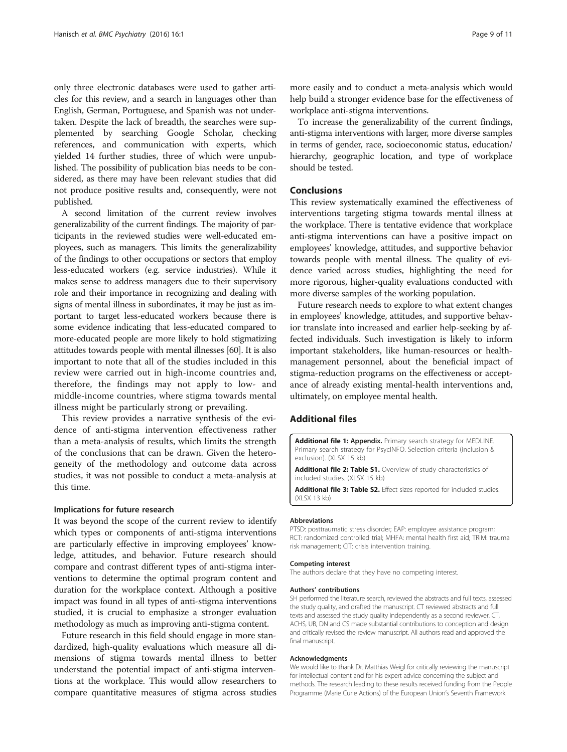<span id="page-8-0"></span>only three electronic databases were used to gather articles for this review, and a search in languages other than English, German, Portuguese, and Spanish was not undertaken. Despite the lack of breadth, the searches were supplemented by searching Google Scholar, checking references, and communication with experts, which yielded 14 further studies, three of which were unpublished. The possibility of publication bias needs to be considered, as there may have been relevant studies that did not produce positive results and, consequently, were not published.

A second limitation of the current review involves generalizability of the current findings. The majority of participants in the reviewed studies were well-educated employees, such as managers. This limits the generalizability of the findings to other occupations or sectors that employ less-educated workers (e.g. service industries). While it makes sense to address managers due to their supervisory role and their importance in recognizing and dealing with signs of mental illness in subordinates, it may be just as important to target less-educated workers because there is some evidence indicating that less-educated compared to more-educated people are more likely to hold stigmatizing attitudes towards people with mental illnesses [\[60\]](#page-10-0). It is also important to note that all of the studies included in this review were carried out in high-income countries and, therefore, the findings may not apply to low- and middle-income countries, where stigma towards mental illness might be particularly strong or prevailing.

This review provides a narrative synthesis of the evidence of anti-stigma intervention effectiveness rather than a meta-analysis of results, which limits the strength of the conclusions that can be drawn. Given the heterogeneity of the methodology and outcome data across studies, it was not possible to conduct a meta-analysis at this time.

## Implications for future research

It was beyond the scope of the current review to identify which types or components of anti-stigma interventions are particularly effective in improving employees' knowledge, attitudes, and behavior. Future research should compare and contrast different types of anti-stigma interventions to determine the optimal program content and duration for the workplace context. Although a positive impact was found in all types of anti-stigma interventions studied, it is crucial to emphasize a stronger evaluation methodology as much as improving anti-stigma content.

Future research in this field should engage in more standardized, high-quality evaluations which measure all dimensions of stigma towards mental illness to better understand the potential impact of anti-stigma interventions at the workplace. This would allow researchers to compare quantitative measures of stigma across studies

more easily and to conduct a meta-analysis which would help build a stronger evidence base for the effectiveness of workplace anti-stigma interventions.

To increase the generalizability of the current findings, anti-stigma interventions with larger, more diverse samples in terms of gender, race, socioeconomic status, education/ hierarchy, geographic location, and type of workplace should be tested.

## Conclusions

This review systematically examined the effectiveness of interventions targeting stigma towards mental illness at the workplace. There is tentative evidence that workplace anti-stigma interventions can have a positive impact on employees' knowledge, attitudes, and supportive behavior towards people with mental illness. The quality of evidence varied across studies, highlighting the need for more rigorous, higher-quality evaluations conducted with more diverse samples of the working population.

Future research needs to explore to what extent changes in employees' knowledge, attitudes, and supportive behavior translate into increased and earlier help-seeking by affected individuals. Such investigation is likely to inform important stakeholders, like human-resources or healthmanagement personnel, about the beneficial impact of stigma-reduction programs on the effectiveness or acceptance of already existing mental-health interventions and, ultimately, on employee mental health.

## Additional files

[Additional file 1:](dx.doi.org/10.1186/s12888-015-0706-4) Appendix. Primary search strategy for MEDLINE. Primary search strategy for PsycINFO. Selection criteria (inclusion & exclusion). (XLSX 15 kb)

[Additional file 2: Table S1.](dx.doi.org/10.1186/s12888-015-0706-4) Overview of study characteristics of included studies. (XLSX 15 kb)

[Additional file 3: Table S2.](dx.doi.org/10.1186/s12888-015-0706-4) Effect sizes reported for included studies. (XLSX 13 kb)

#### Abbreviations

PTSD: posttraumatic stress disorder; EAP: employee assistance program; RCT: randomized controlled trial; MHFA: mental health first aid; TRiM: trauma risk management; CIT: crisis intervention training.

#### Competing interest

The authors declare that they have no competing interest.

#### Authors' contributions

SH performed the literature search, reviewed the abstracts and full texts, assessed the study quality, and drafted the manuscript. CT reviewed abstracts and full texts and assessed the study quality independently as a second reviewer. CT, ACHS, UB, DN and CS made substantial contributions to conception and design and critically revised the review manuscript. All authors read and approved the final manuscript.

#### Acknowledgments

We would like to thank Dr. Matthias Weigl for critically reviewing the manuscript for intellectual content and for his expert advice concerning the subject and methods. The research leading to these results received funding from the People Programme (Marie Curie Actions) of the European Union's Seventh Framework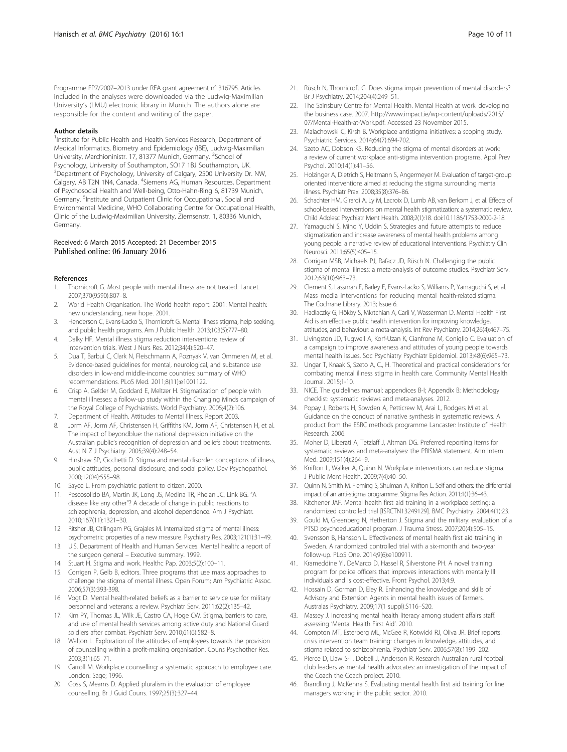<span id="page-9-0"></span>Programme FP7/2007–2013 under REA grant agreement n° 316795. Articles included in the analyses were downloaded via the Ludwig-Maximilian University's (LMU) electronic library in Munich. The authors alone are responsible for the content and writing of the paper.

#### Author details

<sup>1</sup>Institute for Public Health and Health Services Research, Department of Medical Informatics, Biometry and Epidemiology (IBE), Ludwig-Maximilian University, Marchioninistr. 17, 81377 Munich, Germany. <sup>2</sup>School of Psychology, University of Southampton, SO17 1BJ Southampton, UK. <sup>3</sup>Department of Psychology, University of Calgary, 2500 University Dr. NW, Calgary, AB T2N 1N4, Canada. <sup>4</sup>Siemens AG, Human Resources, Department of Psychosocial Health and Well-being, Otto-Hahn-Ring 6, 81739 Munich, Germany. <sup>5</sup>Institute and Outpatient Clinic for Occupational, Social and Environmental Medicine, WHO Collaborating Centre for Occupational Health, Clinic of the Ludwig-Maximilian University, Ziemsenstr. 1, 80336 Munich, Germany.

## Received: 6 March 2015 Accepted: 21 December 2015 Published online: 06 January 2016

#### References

- 1. Thornicroft G. Most people with mental illness are not treated. Lancet. 2007;370(9590):807–8.
- 2. World Health Organisation. The World health report: 2001: Mental health: new understanding, new hope. 2001.
- 3. Henderson C, Evans-Lacko S, Thornicroft G. Mental illness stigma, help seeking, and public health programs. Am J Public Health. 2013;103(5):777–80.
- 4. Dalky HF. Mental illness stigma reduction interventions review of intervention trials. West J Nurs Res. 2012;34(4):520–47.
- 5. Dua T, Barbui C, Clark N, Fleischmann A, Poznyak V, van Ommeren M, et al. Evidence-based guidelines for mental, neurological, and substance use disorders in low-and middle-income countries: summary of WHO recommendations. PLoS Med. 2011;8(11):e1001122.
- 6. Crisp A, Gelder M, Goddard E, Meltzer H. Stigmatization of people with mental illnesses: a follow-up study within the Changing Minds campaign of the Royal College of Psychiatrists. World Psychiatry. 2005;4(2):106.
- 7. Department of Health. Attitudes to Mental Illness. Report 2003.
- Jorm AF, Jorm AF, Christensen H, Griffiths KM, Jorm AF, Christensen H, et al. The impact of beyondblue: the national depression initiative on the Australian public's recognition of depression and beliefs about treatments. Aust N Z J Psychiatry. 2005;39(4):248–54.
- 9. Hinshaw SP, Cicchetti D. Stigma and mental disorder: conceptions of illness, public attitudes, personal disclosure, and social policy. Dev Psychopathol. 2000;12(04):555–98.
- 10. Sayce L. From psychiatric patient to citizen. 2000.
- 11. Pescosolido BA, Martin JK, Long JS, Medina TR, Phelan JC, Link BG. "A disease like any other"? A decade of change in public reactions to schizophrenia, depression, and alcohol dependence. Am J Psychiatr. 2010;167(11):1321–30.
- 12. Ritsher JB, Otilingam PG, Grajales M. Internalized stigma of mental illness: psychometric properties of a new measure. Psychiatry Res. 2003;121(1):31–49.
- 13. U.S. Department of Health and Human Services. Mental health: a report of the surgeon general – Executive summary. 1999.
- 14. Stuart H. Stigma and work. Healthc Pap. 2003;5(2):100–11.
- 15. Corrigan P, Gelb B, editors. Three programs that use mass approaches to challenge the stigma of mental illness. Open Forum; Am Psychiatric Assoc. 2006;57(3):393-398.
- 16. Vogt D. Mental health-related beliefs as a barrier to service use for military personnel and veterans: a review. Psychiatr Serv. 2011;62(2):135–42.
- 17. Kim PY, Thomas JL, Wilk JE, Castro CA, Hoge CW. Stigma, barriers to care, and use of mental health services among active duty and National Guard soldiers after combat. Psychiatr Serv. 2010;61(6):582–8.
- 18. Walton L. Exploration of the attitudes of employees towards the provision of counselling within a profit-making organisation. Couns Psychother Res. 2003;3(1):65–71.
- 19. Carroll M. Workplace counselling: a systematic approach to employee care. London: Sage; 1996.
- 20. Goss S, Mearns D. Applied pluralism in the evaluation of employee counselling. Br J Guid Couns. 1997;25(3):327–44.
- 22. The Sainsbury Centre for Mental Health. Mental Health at work: developing the business case. 2007. [http://www.impact.ie/wp-content/uploads/2015/](http://www.impact.ie/wp-content/uploads/2015/07/Mental-Health-at-Work.pdf) [07/Mental-Health-at-Work.pdf.](http://www.impact.ie/wp-content/uploads/2015/07/Mental-Health-at-Work.pdf) Accessed 23 November 2015.
- 23. Malachowski C, Kirsh B. Workplace antistigma initiatives: a scoping study. Psychiatric Services. 2014;64(7):694-702.
- 24. Szeto AC, Dobson KS. Reducing the stigma of mental disorders at work: a review of current workplace anti-stigma intervention programs. Appl Prev Psychol. 2010;14(1):41–56.
- 25. Holzinger A, Dietrich S, Heitmann S, Angermeyer M. Evaluation of target-group oriented interventions aimed at reducing the stigma surrounding mental illness. Psychiatr Prax. 2008;35(8):376–86.
- 26. Schachter HM, Girardi A, Ly M, Lacroix D, Lumb AB, van Berkom J, et al. Effects of school-based interventions on mental health stigmatization: a systematic review. Child Adolesc Psychiatr Ment Health. 2008;2(1):18. doi[:10.1186/1753-2000-2-18.](http://dx.doi.org/10.1186/1753-2000-2-18)
- 27. Yamaguchi S, Mino Y, Uddin S. Strategies and future attempts to reduce stigmatization and increase awareness of mental health problems among young people: a narrative review of educational interventions. Psychiatry Clin Neurosci. 2011;65(5):405–15.
- 28. Corrigan MSB, Michaels PJ, Rafacz JD, Rüsch N. Challenging the public stigma of mental illness: a meta-analysis of outcome studies. Psychiatr Serv. 2012;63(10):963–73.
- 29. Clement S, Lassman F, Barley E, Evans-Lacko S, Williams P, Yamaguchi S, et al. Mass media interventions for reducing mental health-related stigma. The Cochrane Library. 2013; Issue 6.
- 30. Hadlaczky G, Hökby S, Mkrtchian A, Carli V, Wasserman D. Mental Health First Aid is an effective public health intervention for improving knowledge, attitudes, and behaviour: a meta-analysis. Int Rev Psychiatry. 2014;26(4):467–75.
- 31. Livingston JD, Tugwell A, Korf-Uzan K, Cianfrone M, Coniglio C. Evaluation of a campaign to improve awareness and attitudes of young people towards mental health issues. Soc Psychiatry Psychiatr Epidemiol. 2013;48(6):965–73.
- 32. Ungar T, Knaak S, Szeto A, C., H. Theoretical and practical considerations for combating mental illness stigma in health care. Community Mental Health Journal. 2015;1-10.
- 33. NICE. The guidelines manual: appendices B-I; Appendix B: Methodology checklist: systematic reviews and meta-analyses. 2012.
- 34. Popay J, Roberts H, Sowden A, Petticrew M, Arai L, Rodgers M et al. Guidance on the conduct of narrative synthesis in systematic reviews. A product from the ESRC methods programme Lancaster: Institute of Health Research. 2006.
- 35. Moher D, Liberati A, Tetzlaff J, Altman DG. Preferred reporting items for systematic reviews and meta-analyses: the PRISMA statement. Ann Intern Med. 2009;151(4):264–9.
- 36. Knifton L, Walker A, Quinn N. Workplace interventions can reduce stigma. J Public Ment Health. 2009;7(4):40–50.
- 37. Quinn N, Smith M, Fleming S, Shulman A, Knifton L. Self and others: the differential impact of an anti-stigma programme. Stigma Res Action. 2011;1(1):36–43.
- 38. Kitchener JAF. Mental health first aid training in a workplace setting: a randomized controlled trial [ISRCTN13249129]. BMC Psychiatry. 2004;4(1):23.
- 39. Gould M, Greenberg N, Hetherton J. Stigma and the military: evaluation of a PTSD psychoeducational program. J Trauma Stress. 2007;20(4):505–15.
- 40. Svensson B, Hansson L. Effectiveness of mental health first aid training in Sweden. A randomized controlled trial with a six-month and two-year follow-up. PLoS One. 2014;9(6):e100911.
- 41. Krameddine YI, DeMarco D, Hassel R, Silverstone PH. A novel training program for police officers that improves interactions with mentally Ill individuals and is cost-effective. Front Psychol. 2013;4:9.
- 42. Hossain D, Gorman D, Eley R. Enhancing the knowledge and skills of Advisory and Extension Agents in mental health issues of farmers. Australas Psychiatry. 2009;17(1 suppl):S116–S20.
- 43. Massey J. Increasing mental health literacy among student affairs staff: assessing 'Mental Health First Aid'. 2010.
- 44. Compton MT, Esterberg ML, McGee R, Kotwicki RJ, Oliva JR. Brief reports: crisis intervention team training: changes in knowledge, attitudes, and stigma related to schizophrenia. Psychiatr Serv. 2006;57(8):1199–202.
- 45. Pierce D, Liaw S-T, Dobell J, Anderson R. Research Australian rural football club leaders as mental health advocates: an investigation of the impact of the Coach the Coach project. 2010.
- 46. Brandling J, McKenna S. Evaluating mental health first aid training for line managers working in the public sector. 2010.